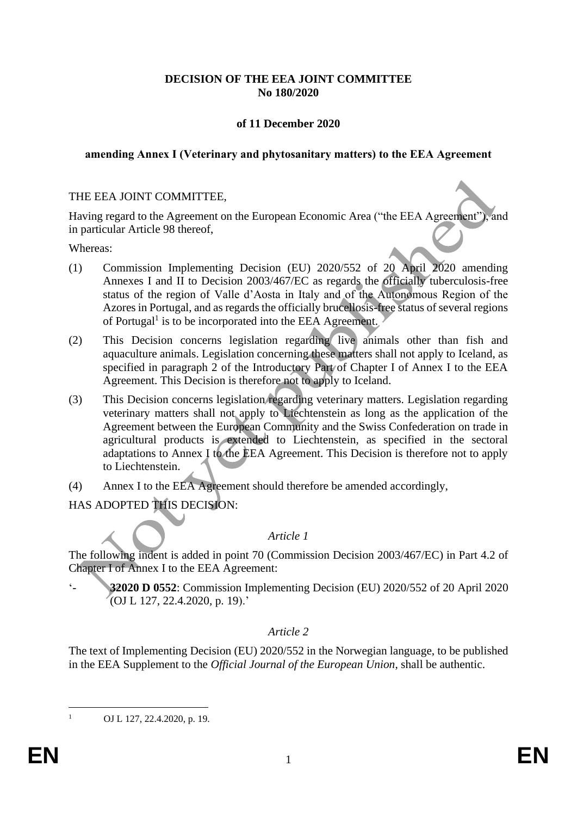# **DECISION OF THE EEA JOINT COMMITTEE No 180/2020**

# **of 11 December 2020**

#### **amending Annex I (Veterinary and phytosanitary matters) to the EEA Agreement**

#### THE EEA JOINT COMMITTEE,

Having regard to the Agreement on the European Economic Area ("the EEA Agreement"), and in particular Article 98 thereof,

Whereas:

- (1) Commission Implementing Decision (EU) 2020/552 of 20 April 2020 amending Annexes I and II to Decision 2003/467/EC as regards the officially tuberculosis-free status of the region of Valle d'Aosta in Italy and of the Autonomous Region of the Azores in Portugal, and as regards the officially brucellosis-free status of several regions of Portugal<sup>1</sup> is to be incorporated into the EEA Agreement.
- (2) This Decision concerns legislation regarding live animals other than fish and aquaculture animals. Legislation concerning these matters shall not apply to Iceland, as specified in paragraph 2 of the Introductory Part of Chapter I of Annex I to the EEA Agreement. This Decision is therefore not to apply to Iceland.
- (3) This Decision concerns legislation regarding veterinary matters. Legislation regarding veterinary matters shall not apply to Liechtenstein as long as the application of the Agreement between the European Community and the Swiss Confederation on trade in agricultural products is extended to Liechtenstein, as specified in the sectoral adaptations to Annex I to the EEA Agreement. This Decision is therefore not to apply to Liechtenstein.
- (4) Annex I to the EEA Agreement should therefore be amended accordingly,

HAS ADOPTED THIS DECISION:

#### *Article 1*

The following indent is added in point 70 (Commission Decision 2003/467/EC) in Part 4.2 of Chapter I of Annex I to the EEA Agreement:

'- **32020 D 0552**: Commission Implementing Decision (EU) 2020/552 of 20 April 2020  $($ OJ L 127, 22.4.2020, p. 19).'

# *Article 2*

The text of Implementing Decision (EU) 2020/552 in the Norwegian language, to be published in the EEA Supplement to the *Official Journal of the European Union*, shall be authentic.

OJ L 127, 22.4.2020, p. 19.